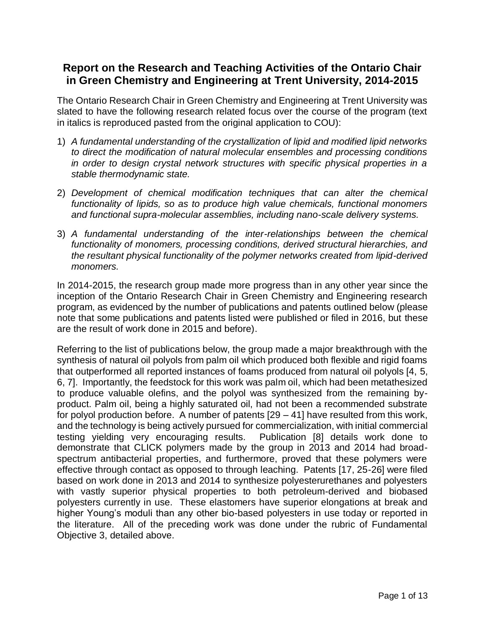# **Report on the Research and Teaching Activities of the Ontario Chair in Green Chemistry and Engineering at Trent University, 2014-2015**

The Ontario Research Chair in Green Chemistry and Engineering at Trent University was slated to have the following research related focus over the course of the program (text in italics is reproduced pasted from the original application to COU):

- 1) *A fundamental understanding of the crystallization of lipid and modified lipid networks to direct the modification of natural molecular ensembles and processing conditions in order to design crystal network structures with specific physical properties in a stable thermodynamic state.*
- 2) *Development of chemical modification techniques that can alter the chemical functionality of lipids, so as to produce high value chemicals, functional monomers and functional supra-molecular assemblies, including nano-scale delivery systems.*
- 3) *A fundamental understanding of the inter-relationships between the chemical functionality of monomers, processing conditions, derived structural hierarchies, and the resultant physical functionality of the polymer networks created from lipid-derived monomers.*

In 2014-2015, the research group made more progress than in any other year since the inception of the Ontario Research Chair in Green Chemistry and Engineering research program, as evidenced by the number of publications and patents outlined below (please note that some publications and patents listed were published or filed in 2016, but these are the result of work done in 2015 and before).

Referring to the list of publications below, the group made a major breakthrough with the synthesis of natural oil polyols from palm oil which produced both flexible and rigid foams that outperformed all reported instances of foams produced from natural oil polyols [4, 5, 6, 7]. Importantly, the feedstock for this work was palm oil, which had been metathesized to produce valuable olefins, and the polyol was synthesized from the remaining byproduct. Palm oil, being a highly saturated oil, had not been a recommended substrate for polyol production before. A number of patents [29 – 41] have resulted from this work, and the technology is being actively pursued for commercialization, with initial commercial testing yielding very encouraging results. Publication [8] details work done to demonstrate that CLICK polymers made by the group in 2013 and 2014 had broadspectrum antibacterial properties, and furthermore, proved that these polymers were effective through contact as opposed to through leaching. Patents [17, 25-26] were filed based on work done in 2013 and 2014 to synthesize polyesterurethanes and polyesters with vastly superior physical properties to both petroleum-derived and biobased polyesters currently in use. These elastomers have superior elongations at break and higher Young's moduli than any other bio-based polyesters in use today or reported in the literature. All of the preceding work was done under the rubric of Fundamental Objective 3, detailed above.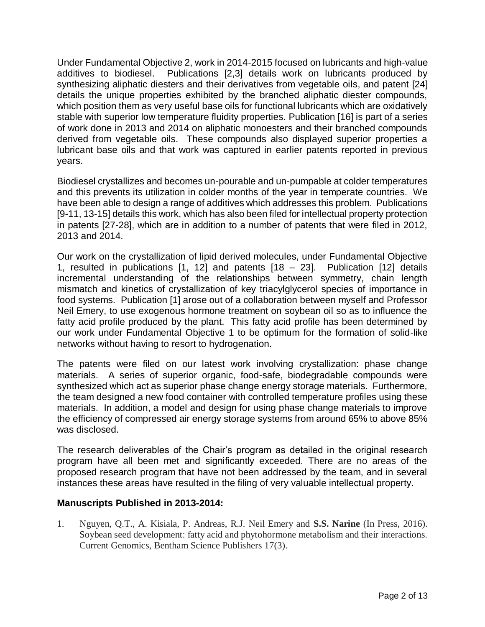Under Fundamental Objective 2, work in 2014-2015 focused on lubricants and high-value additives to biodiesel. Publications [2,3] details work on lubricants produced by synthesizing aliphatic diesters and their derivatives from vegetable oils, and patent [24] details the unique properties exhibited by the branched aliphatic diester compounds, which position them as very useful base oils for functional lubricants which are oxidatively stable with superior low temperature fluidity properties. Publication [16] is part of a series of work done in 2013 and 2014 on aliphatic monoesters and their branched compounds derived from vegetable oils. These compounds also displayed superior properties a lubricant base oils and that work was captured in earlier patents reported in previous years.

Biodiesel crystallizes and becomes un-pourable and un-pumpable at colder temperatures and this prevents its utilization in colder months of the year in temperate countries. We have been able to design a range of additives which addresses this problem. Publications [9-11, 13-15] details this work, which has also been filed for intellectual property protection in patents [27-28], which are in addition to a number of patents that were filed in 2012, 2013 and 2014.

Our work on the crystallization of lipid derived molecules, under Fundamental Objective 1, resulted in publications  $\begin{bmatrix} 1 \\ 1 \end{bmatrix}$  and patents  $\begin{bmatrix} 18 \\ -23 \end{bmatrix}$ . Publication  $\begin{bmatrix} 12 \\ 12 \end{bmatrix}$  details incremental understanding of the relationships between symmetry, chain length mismatch and kinetics of crystallization of key triacylglycerol species of importance in food systems. Publication [1] arose out of a collaboration between myself and Professor Neil Emery, to use exogenous hormone treatment on soybean oil so as to influence the fatty acid profile produced by the plant. This fatty acid profile has been determined by our work under Fundamental Objective 1 to be optimum for the formation of solid-like networks without having to resort to hydrogenation.

The patents were filed on our latest work involving crystallization: phase change materials. A series of superior organic, food-safe, biodegradable compounds were synthesized which act as superior phase change energy storage materials. Furthermore, the team designed a new food container with controlled temperature profiles using these materials. In addition, a model and design for using phase change materials to improve the efficiency of compressed air energy storage systems from around 65% to above 85% was disclosed.

The research deliverables of the Chair's program as detailed in the original research program have all been met and significantly exceeded. There are no areas of the proposed research program that have not been addressed by the team, and in several instances these areas have resulted in the filing of very valuable intellectual property.

### **Manuscripts Published in 2013-2014:**

1. Nguyen, Q.T., A. Kisiala, P. Andreas, R.J. Neil Emery and **S.S. Narine** (In Press, 2016). Soybean seed development: fatty acid and phytohormone metabolism and their interactions. Current Genomics, Bentham Science Publishers 17(3).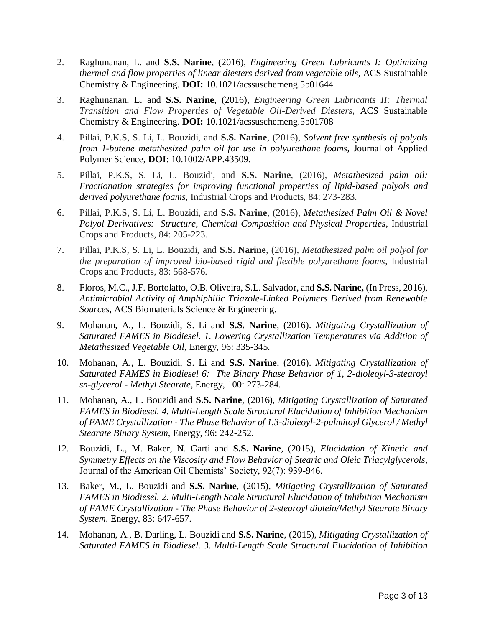- 2. Raghunanan, L. and **S.S. Narine**, (2016), *Engineering Green Lubricants I: Optimizing thermal and flow properties of linear diesters derived from vegetable oils,* ACS Sustainable Chemistry & Engineering. **DOI:** 10.1021/acssuschemeng.5b01644
- 3. Raghunanan, L. and **S.S. Narine**, (2016), *Engineering Green Lubricants II: Thermal Transition and Flow Properties of Vegetable Oil-Derived Diesters,* ACS Sustainable Chemistry & Engineering. **DOI:** 10.1021/acssuschemeng.5b01708
- 4. Pillai, P.K.S, S. Li, L. Bouzidi, and **S.S. Narine**, (2016), *Solvent free synthesis of polyols from 1-butene metathesized palm oil for use in polyurethane foams,* Journal of Applied Polymer Science, **DOI**: 10.1002/APP.43509.
- 5. Pillai, P.K.S, S. Li, L. Bouzidi, and **S.S. Narine**, (2016), *Metathesized palm oil: Fractionation strategies for improving functional properties of lipid-based polyols and derived polyurethane foams*, Industrial Crops and Products, 84: 273-283.
- 6. Pillai, P.K.S, S. Li, L. Bouzidi, and **S.S. Narine**, (2016), *Metathesized Palm Oil & Novel Polyol Derivatives: Structure, Chemical Composition and Physical Properties*, Industrial Crops and Products, 84: 205-223.
- 7. Pillai, P.K.S, S. Li, L. Bouzidi, and **S.S. Narine**, (2016), *Metathesized palm oil polyol for the preparation of improved bio-based rigid and flexible polyurethane foams*, Industrial Crops and Products, 83: 568-576.
- 8. Floros, M.C., J.F. Bortolatto, O.B. Oliveira, S.L. Salvador, and **S.S. Narine,** (In Press, 2016), *Antimicrobial Activity of Amphiphilic Triazole-Linked Polymers Derived from Renewable Sources*, ACS Biomaterials Science & Engineering.
- 9. Mohanan, A., L. Bouzidi, S. Li and **S.S. Narine**, (2016). *Mitigating Crystallization of Saturated FAMES in Biodiesel. 1. Lowering Crystallization Temperatures via Addition of Metathesized Vegetable Oil*, Energy, 96: 335-345.
- 10. Mohanan, A., L. Bouzidi, S. Li and **S.S. Narine**, (2016). *Mitigating Crystallization of Saturated FAMES in Biodiesel 6: The Binary Phase Behavior of 1, 2-dioleoyl-3-stearoyl sn-glycerol - Methyl Stearate*, Energy, 100: 273-284.
- 11. Mohanan, A., L. Bouzidi and **S.S. Narine**, (2016), *Mitigating Crystallization of Saturated FAMES in Biodiesel. 4. Multi-Length Scale Structural Elucidation of Inhibition Mechanism of FAME Crystallization - The Phase Behavior of 1,3-dioleoyl-2-palmitoyl Glycerol / Methyl Stearate Binary System*, Energy, 96: 242-252.
- 12. Bouzidi, L., M. Baker, N. Garti and **S.S. Narine**, (2015), *Elucidation of Kinetic and Symmetry Effects on the Viscosity and Flow Behavior of Stearic and Oleic Triacylglycerols*, Journal of the American Oil Chemists' Society, 92(7): 939-946.
- 13. Baker, M., L. Bouzidi and **S.S. Narine**, (2015), *Mitigating Crystallization of Saturated FAMES in Biodiesel. 2. Multi-Length Scale Structural Elucidation of Inhibition Mechanism of FAME Crystallization - The Phase Behavior of 2-stearoyl diolein/Methyl Stearate Binary System,* Energy, 83: 647-657.
- 14. Mohanan, A., B. Darling, L. Bouzidi and **S.S. Narine**, (2015), *Mitigating Crystallization of Saturated FAMES in Biodiesel. 3. Multi-Length Scale Structural Elucidation of Inhibition*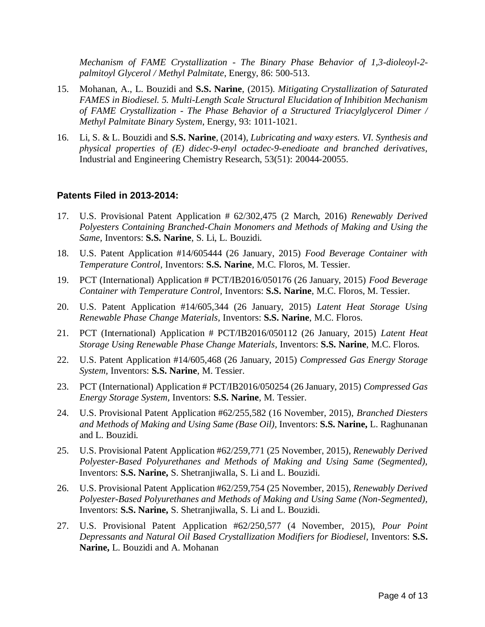*Mechanism of FAME Crystallization - The Binary Phase Behavior of 1,3-dioleoyl-2 palmitoyl Glycerol / Methyl Palmitate*, Energy, 86: 500-513.

- 15. Mohanan, A., L. Bouzidi and **S.S. Narine**, (2015). *Mitigating Crystallization of Saturated FAMES in Biodiesel. 5. Multi-Length Scale Structural Elucidation of Inhibition Mechanism of FAME Crystallization - The Phase Behavior of a Structured Triacylglycerol Dimer / Methyl Palmitate Binary System*, Energy, 93: 1011-1021.
- 16. Li, S. & L. Bouzidi and **S.S. Narine**, (2014), *Lubricating and waxy esters. VI. Synthesis and physical properties of (E) didec-9-enyl octadec-9-enedioate and branched derivatives*, Industrial and Engineering Chemistry Research, 53(51): 20044-20055.

#### **Patents Filed in 2013-2014:**

- 17. U.S. Provisional Patent Application # 62/302,475 (2 March, 2016) *Renewably Derived Polyesters Containing Branched-Chain Monomers and Methods of Making and Using the Same,* Inventors: **S.S. Narine**, S. Li, L. Bouzidi.
- 18. U.S. Patent Application #14/605444 (26 January, 2015) *Food Beverage Container with Temperature Control,* Inventors: **S.S. Narine**, M.C. Floros, M. Tessier.
- 19. PCT (International) Application # PCT/IB2016/050176 (26 January, 2015) *Food Beverage Container with Temperature Control,* Inventors: **S.S. Narine**, M.C. Floros, M. Tessier.
- 20. U.S. Patent Application #14/605,344 (26 January, 2015) *Latent Heat Storage Using Renewable Phase Change Materials,* Inventors: **S.S. Narine**, M.C. Floros.
- 21. PCT (International) Application # PCT/IB2016/050112 (26 January, 2015) *Latent Heat Storage Using Renewable Phase Change Materials,* Inventors: **S.S. Narine**, M.C. Floros.
- 22. U.S. Patent Application #14/605,468 (26 January, 2015) *Compressed Gas Energy Storage System,* Inventors: **S.S. Narine**, M. Tessier.
- 23. PCT (International) Application # PCT/IB2016/050254 (26 January, 2015) *Compressed Gas Energy Storage System,* Inventors: **S.S. Narine**, M. Tessier.
- 24. U.S. Provisional Patent Application #62/255,582 (16 November, 2015), *Branched Diesters and Methods of Making and Using Same (Base Oil),* Inventors: **S.S. Narine,** L. Raghunanan and L. Bouzidi.
- 25. U.S. Provisional Patent Application #62/259,771 (25 November, 2015), *Renewably Derived Polyester-Based Polyurethanes and Methods of Making and Using Same (Segmented),*  Inventors: **S.S. Narine,** S. Shetranjiwalla, S. Li and L. Bouzidi.
- 26. U.S. Provisional Patent Application #62/259,754 (25 November, 2015), *Renewably Derived Polyester-Based Polyurethanes and Methods of Making and Using Same (Non-Segmented),*  Inventors: **S.S. Narine,** S. Shetranjiwalla, S. Li and L. Bouzidi.
- 27. U.S. Provisional Patent Application #62/250,577 (4 November, 2015), *Pour Point Depressants and Natural Oil Based Crystallization Modifiers for Biodiesel,* Inventors: **S.S. Narine,** L. Bouzidi and A. Mohanan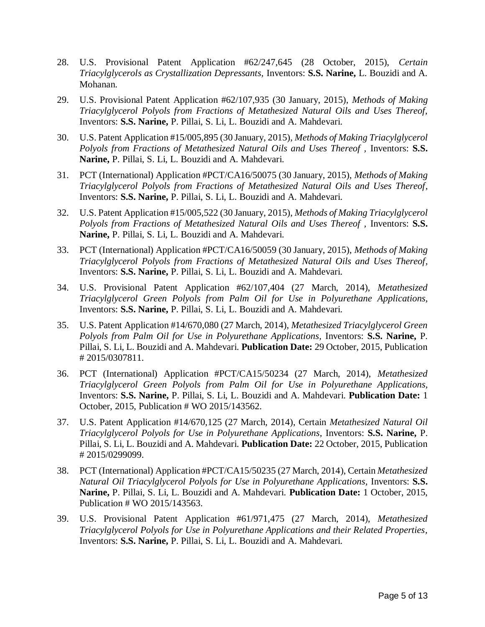- 28. U.S. Provisional Patent Application #62/247,645 (28 October, 2015), *Certain Triacylglycerols as Crystallization Depressants,* Inventors: **S.S. Narine,** L. Bouzidi and A. Mohanan.
- 29. U.S. Provisional Patent Application #62/107,935 (30 January, 2015), *Methods of Making Triacylglycerol Polyols from Fractions of Metathesized Natural Oils and Uses Thereof,*  Inventors: **S.S. Narine,** P. Pillai, S. Li, L. Bouzidi and A. Mahdevari.
- 30. U.S. Patent Application #15/005,895 (30 January, 2015), *Methods of Making Triacylglycerol Polyols from Fractions of Metathesized Natural Oils and Uses Thereof, Inventors: S.S.* **Narine,** P. Pillai, S. Li, L. Bouzidi and A. Mahdevari.
- 31. PCT (International) Application #PCT/CA16/50075 (30 January, 2015), *Methods of Making Triacylglycerol Polyols from Fractions of Metathesized Natural Oils and Uses Thereof,*  Inventors: **S.S. Narine,** P. Pillai, S. Li, L. Bouzidi and A. Mahdevari.
- 32. U.S. Patent Application #15/005,522 (30 January, 2015), *Methods of Making Triacylglycerol*  Polyols from Fractions of Metathesized Natural Oils and Uses Thereof, Inventors: S.S. **Narine,** P. Pillai, S. Li, L. Bouzidi and A. Mahdevari.
- 33. PCT (International) Application #PCT/CA16/50059 (30 January, 2015), *Methods of Making Triacylglycerol Polyols from Fractions of Metathesized Natural Oils and Uses Thereof,*  Inventors: **S.S. Narine,** P. Pillai, S. Li, L. Bouzidi and A. Mahdevari.
- 34. U.S. Provisional Patent Application #62/107,404 (27 March, 2014), *Metathesized Triacylglycerol Green Polyols from Palm Oil for Use in Polyurethane Applications,*  Inventors: **S.S. Narine,** P. Pillai, S. Li, L. Bouzidi and A. Mahdevari.
- 35. U.S. Patent Application #14/670,080 (27 March, 2014), *Metathesized Triacylglycerol Green Polyols from Palm Oil for Use in Polyurethane Applications,* Inventors: **S.S. Narine,** P. Pillai, S. Li, L. Bouzidi and A. Mahdevari. **Publication Date:** 29 October, 2015, Publication # 2015/0307811.
- 36. PCT (International) Application #PCT/CA15/50234 (27 March, 2014), *Metathesized Triacylglycerol Green Polyols from Palm Oil for Use in Polyurethane Applications,*  Inventors: **S.S. Narine,** P. Pillai, S. Li, L. Bouzidi and A. Mahdevari. **Publication Date:** 1 October, 2015, Publication # WO 2015/143562.
- 37. U.S. Patent Application #14/670,125 (27 March, 2014), Certain *Metathesized Natural Oil Triacylglycerol Polyols for Use in Polyurethane Applications,* Inventors: **S.S. Narine,** P. Pillai, S. Li, L. Bouzidi and A. Mahdevari. **Publication Date:** 22 October, 2015, Publication # 2015/0299099.
- 38. PCT (International) Application #PCT/CA15/50235 (27 March, 2014), Certain *Metathesized Natural Oil Triacylglycerol Polyols for Use in Polyurethane Applications, Inventors: S.S.* **Narine,** P. Pillai, S. Li, L. Bouzidi and A. Mahdevari. **Publication Date:** 1 October, 2015, Publication # WO 2015/143563.
- 39. U.S. Provisional Patent Application #61/971,475 (27 March, 2014), *Metathesized Triacylglycerol Polyols for Use in Polyurethane Applications and their Related Properties,*  Inventors: **S.S. Narine,** P. Pillai, S. Li, L. Bouzidi and A. Mahdevari.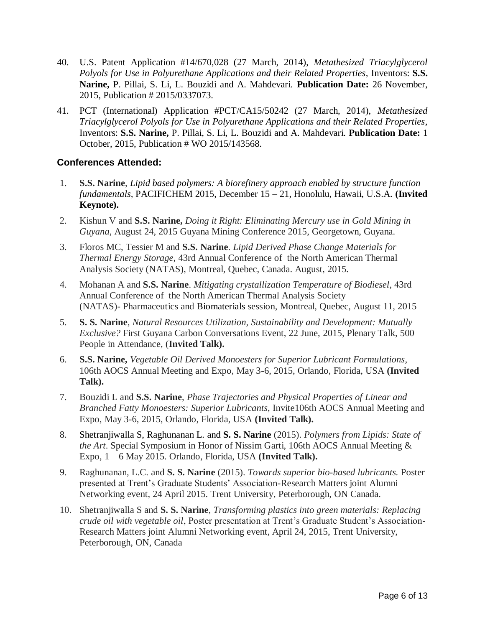- 40. U.S. Patent Application #14/670,028 (27 March, 2014), *Metathesized Triacylglycerol Polyols for Use in Polyurethane Applications and their Related Properties, Inventors: S.S.* **Narine,** P. Pillai, S. Li, L. Bouzidi and A. Mahdevari. **Publication Date:** 26 November, 2015, Publication # 2015/0337073.
- 41. PCT (International) Application #PCT/CA15/50242 (27 March, 2014), *Metathesized Triacylglycerol Polyols for Use in Polyurethane Applications and their Related Properties,*  Inventors: **S.S. Narine,** P. Pillai, S. Li, L. Bouzidi and A. Mahdevari. **Publication Date:** 1 October, 2015, Publication # WO 2015/143568.

### **Conferences Attended:**

- 1. **S.S. Narine**, *Lipid based polymers: A biorefinery approach enabled by structure function fundamentals,* PACIFICHEM 2015, December 15 – 21, Honolulu, Hawaii, U.S.A. **(Invited Keynote).**
- 2. Kishun V and **S.S. Narine,** *Doing it Right: Eliminating Mercury use in Gold Mining in Guyana*, August 24, 2015 Guyana Mining Conference 2015, Georgetown, Guyana.
- 3. Floros MC, Tessier M and **S.S. Narine**. *Lipid Derived Phase Change Materials for Thermal Energy Storage*, 43rd Annual Conference of the North American Thermal Analysis Society (NATAS), Montreal, Quebec, Canada. August, 2015.
- 4. Mohanan A and **S.S. Narine**. *Mitigating crystallization Temperature of Biodiesel*, 43rd Annual Conference of the North American Thermal Analysis Society (NATAS)- Pharmaceutics and Biomaterials session, Montreal, Quebec, August 11, 2015
- 5. **S. S. Narine**, *Natural Resources Utilization, Sustainability and Development: Mutually Exclusive?* First Guyana Carbon Conversations Event, 22 June, 2015, Plenary Talk, 500 People in Attendance, (**Invited Talk).**
- 6. **S.S. Narine,** *Vegetable Oil Derived Monoesters for Superior Lubricant Formulations,*  106th AOCS Annual Meeting and Expo, May 3-6, 2015, Orlando, Florida, USA **(Invited Talk).**
- 7. Bouzidi L and **S.S. Narine**, *Phase Trajectories and Physical Properties of Linear and Branched Fatty Monoesters: Superior Lubricants*, Invite106th AOCS Annual Meeting and Expo, May 3-6, 2015, Orlando, Florida, USA **(Invited Talk).**
- 8. Shetranjiwalla S, Raghunanan L. and **S. S. Narine** (2015). *Polymers from Lipids: State of the Art*. Special Symposium in Honor of Nissim Garti, 106th AOCS Annual Meeting & Expo, 1 – 6 May 2015. Orlando, Florida, USA **(Invited Talk).**
- 9. Raghunanan, L.C. and **S. S. Narine** (2015). *Towards superior bio-based lubricants.* Poster presented at Trent's Graduate Students' Association-Research Matters joint Alumni Networking event, 24 April 2015. Trent University, Peterborough, ON Canada.
- 10. Shetranjiwalla S and **S. S. Narine**, *Transforming plastics into green materials: Replacing crude oil with vegetable oil*, Poster presentation at Trent's Graduate Student's Association-Research Matters joint Alumni Networking event, April 24, 2015, Trent University, Peterborough, ON, Canada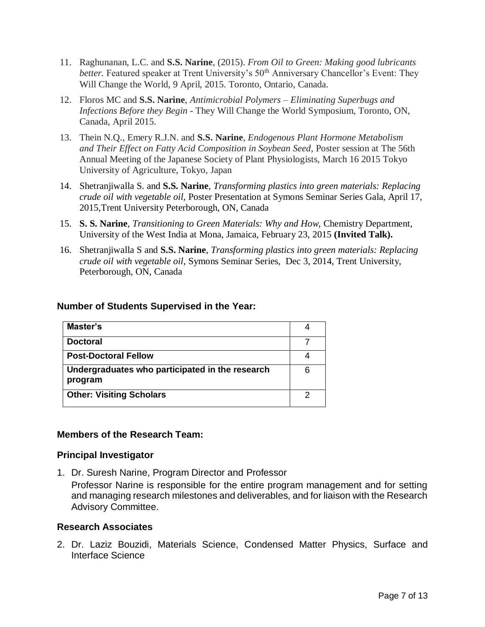- 11. Raghunanan, L.C. and **S.S. Narine**, (2015). *From Oil to Green: Making good lubricants better.* Featured speaker at Trent University's 50<sup>th</sup> Anniversary Chancellor's Event: They Will Change the World, 9 April, 2015. Toronto, Ontario, Canada.
- 12. Floros MC and **S.S. Narine**, *Antimicrobial Polymers – Eliminating Superbugs and Infections Before they Begin* - They Will Change the World Symposium, Toronto, ON, Canada, April 2015.
- 13. Thein N.Q., Emery R.J.N. and **S.S. Narine**, *Endogenous Plant Hormone Metabolism and Their Effect on Fatty Acid Composition in Soybean Seed*, Poster session at The 56th Annual Meeting of the Japanese Society of Plant Physiologists, March 16 2015 Tokyo University of Agriculture, Tokyo, Japan
- 14. Shetranjiwalla S. and **S.S. Narine**, *Transforming plastics into green materials: Replacing crude oil with vegetable oil,* Poster Presentation at Symons Seminar Series Gala, April 17, 2015,Trent University Peterborough, ON, Canada
- 15. **S. S. Narine**, *Transitioning to Green Materials: Why and How,* Chemistry Department, University of the West India at Mona, Jamaica, February 23, 2015 **(Invited Talk).**
- 16. Shetranjiwalla S and **S.S. Narine**, *Transforming plastics into green materials: Replacing crude oil with vegetable oil*, Symons Seminar Series, Dec 3, 2014, Trent University, Peterborough, ON, Canada

#### **Number of Students Supervised in the Year:**

| Master's                                                   |     |
|------------------------------------------------------------|-----|
| <b>Doctoral</b>                                            |     |
| <b>Post-Doctoral Fellow</b>                                |     |
| Undergraduates who participated in the research<br>program | ี่ค |
| <b>Other: Visiting Scholars</b>                            |     |

### **Members of the Research Team:**

#### **Principal Investigator**

1. Dr. Suresh Narine, Program Director and Professor Professor Narine is responsible for the entire program management and for setting and managing research milestones and deliverables, and for liaison with the Research Advisory Committee.

#### **Research Associates**

2. Dr. Laziz Bouzidi, Materials Science, Condensed Matter Physics, Surface and Interface Science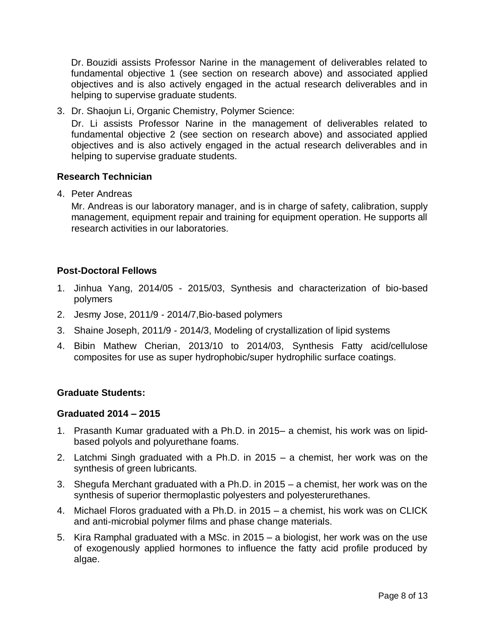Dr. Bouzidi assists Professor Narine in the management of deliverables related to fundamental objective 1 (see section on research above) and associated applied objectives and is also actively engaged in the actual research deliverables and in helping to supervise graduate students.

3. Dr. Shaojun Li, Organic Chemistry, Polymer Science:

Dr. Li assists Professor Narine in the management of deliverables related to fundamental objective 2 (see section on research above) and associated applied objectives and is also actively engaged in the actual research deliverables and in helping to supervise graduate students.

### **Research Technician**

4. Peter Andreas

Mr. Andreas is our laboratory manager, and is in charge of safety, calibration, supply management, equipment repair and training for equipment operation. He supports all research activities in our laboratories.

### **Post-Doctoral Fellows**

- 1. Jinhua Yang, 2014/05 2015/03, Synthesis and characterization of bio-based polymers
- 2. Jesmy Jose, 2011/9 2014/7,Bio-based polymers
- 3. Shaine Joseph, 2011/9 2014/3, Modeling of crystallization of lipid systems
- 4. Bibin Mathew Cherian, 2013/10 to 2014/03, Synthesis Fatty acid/cellulose composites for use as super hydrophobic/super hydrophilic surface coatings.

### **Graduate Students:**

#### **Graduated 2014 – 2015**

- 1. Prasanth Kumar graduated with a Ph.D. in 2015– a chemist, his work was on lipidbased polyols and polyurethane foams.
- 2. Latchmi Singh graduated with a Ph.D. in 2015 a chemist, her work was on the synthesis of green lubricants.
- 3. Shegufa Merchant graduated with a Ph.D. in 2015 a chemist, her work was on the synthesis of superior thermoplastic polyesters and polyesterurethanes.
- 4. Michael Floros graduated with a Ph.D. in 2015 a chemist, his work was on CLICK and anti-microbial polymer films and phase change materials.
- 5. Kira Ramphal graduated with a MSc. in 2015 a biologist, her work was on the use of exogenously applied hormones to influence the fatty acid profile produced by algae.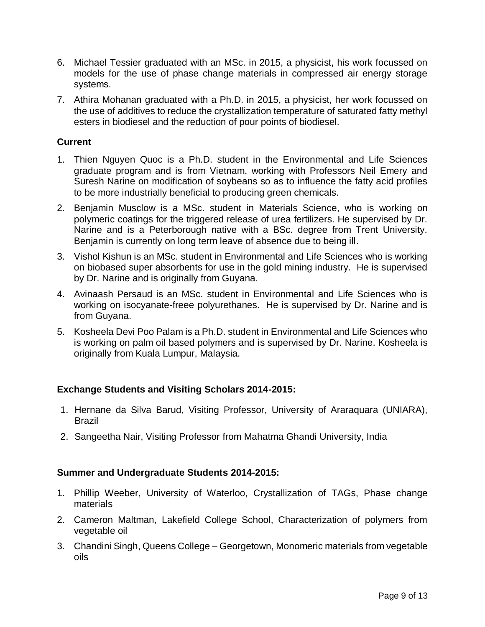- 6. Michael Tessier graduated with an MSc. in 2015, a physicist, his work focussed on models for the use of phase change materials in compressed air energy storage systems.
- 7. Athira Mohanan graduated with a Ph.D. in 2015, a physicist, her work focussed on the use of additives to reduce the crystallization temperature of saturated fatty methyl esters in biodiesel and the reduction of pour points of biodiesel.

### **Current**

- 1. Thien Nguyen Quoc is a Ph.D. student in the Environmental and Life Sciences graduate program and is from Vietnam, working with Professors Neil Emery and Suresh Narine on modification of soybeans so as to influence the fatty acid profiles to be more industrially beneficial to producing green chemicals.
- 2. Benjamin Musclow is a MSc. student in Materials Science, who is working on polymeric coatings for the triggered release of urea fertilizers. He supervised by Dr. Narine and is a Peterborough native with a BSc. degree from Trent University. Benjamin is currently on long term leave of absence due to being ill.
- 3. Vishol Kishun is an MSc. student in Environmental and Life Sciences who is working on biobased super absorbents for use in the gold mining industry. He is supervised by Dr. Narine and is originally from Guyana.
- 4. Avinaash Persaud is an MSc. student in Environmental and Life Sciences who is working on isocyanate-freee polyurethanes. He is supervised by Dr. Narine and is from Guyana.
- 5. Kosheela Devi Poo Palam is a Ph.D. student in Environmental and Life Sciences who is working on palm oil based polymers and is supervised by Dr. Narine. Kosheela is originally from Kuala Lumpur, Malaysia.

## **Exchange Students and Visiting Scholars 2014-2015:**

- 1. Hernane da Silva Barud, Visiting Professor, University of Araraquara (UNIARA), Brazil
- 2. Sangeetha Nair, Visiting Professor from Mahatma Ghandi University, India

### **Summer and Undergraduate Students 2014-2015:**

- 1. Phillip Weeber, University of Waterloo, Crystallization of TAGs, Phase change materials
- 2. Cameron Maltman, Lakefield College School, Characterization of polymers from vegetable oil
- 3. Chandini Singh, Queens College Georgetown, Monomeric materials from vegetable oils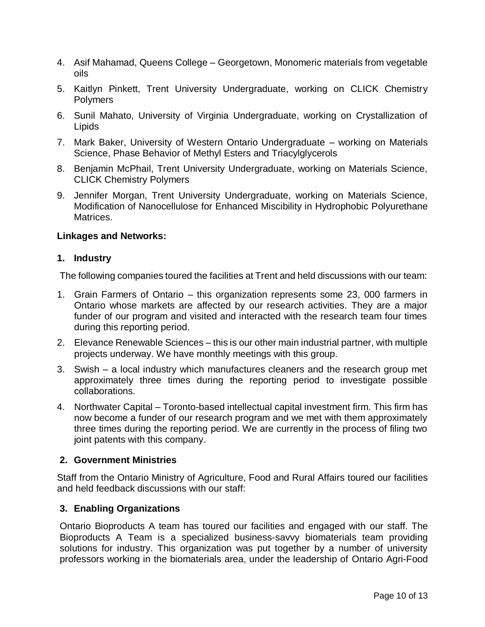- 4. Asif Mahamad, Queens College Georgetown, Monomeric materials from vegetable oils
- 5. Kaitlyn Pinkett, Trent University Undergraduate, working on CLICK Chemistry Polymers
- 6. Sunil Mahato, University of Virginia Undergraduate, working on Crystallization of Lipids
- 7. Mark Baker, University of Western Ontario Undergraduate working on Materials Science, Phase Behavior of Methyl Esters and Triacylglycerols
- 8. Benjamin McPhail, Trent University Undergraduate, working on Materials Science, CLICK Chemistry Polymers
- 9. Jennifer Morgan, Trent University Undergraduate, working on Materials Science, Modification of Nanocellulose for Enhanced Miscibility in Hydrophobic Polyurethane Matrices.

#### **Linkages and Networks:**

#### **1. Industry**

The following companies toured the facilities at Trent and held discussions with our team:

- 1. Grain Farmers of Ontario this organization represents some 23, 000 farmers in Ontario whose markets are affected by our research activities. They are a major funder of our program and visited and interacted with the research team four times during this reporting period.
- 2. Elevance Renewable Sciences this is our other main industrial partner, with multiple projects underway. We have monthly meetings with this group.
- 3. Swish a local industry which manufactures cleaners and the research group met approximately three times during the reporting period to investigate possible collaborations.
- 4. Northwater Capital Toronto-based intellectual capital investment firm. This firm has now become a funder of our research program and we met with them approximately three times during the reporting period. We are currently in the process of filing two joint patents with this company.

### **2. Government Ministries**

Staff from the Ontario Ministry of Agriculture, Food and Rural Affairs toured our facilities and held feedback discussions with our staff:

### **3. Enabling Organizations**

Ontario Bioproducts A team has toured our facilities and engaged with our staff. The Bioproducts A Team is a specialized business-savvy biomaterials team providing solutions for industry. This organization was put together by a number of university professors working in the biomaterials area, under the leadership of Ontario Agri-Food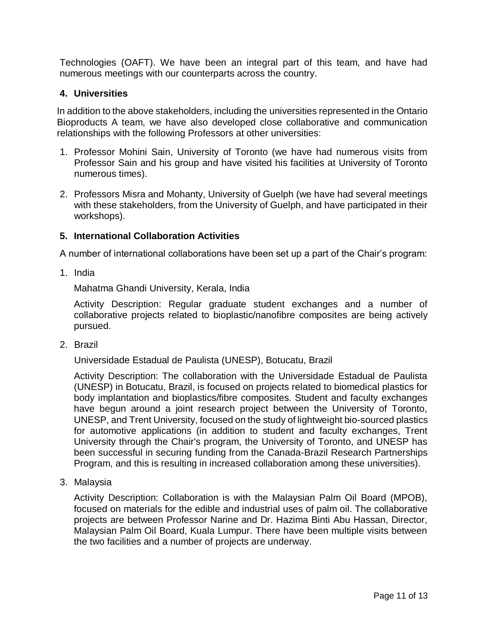Technologies (OAFT). We have been an integral part of this team, and have had numerous meetings with our counterparts across the country.

### **4. Universities**

In addition to the above stakeholders, including the universities represented in the Ontario Bioproducts A team, we have also developed close collaborative and communication relationships with the following Professors at other universities:

- 1. Professor Mohini Sain, University of Toronto (we have had numerous visits from Professor Sain and his group and have visited his facilities at University of Toronto numerous times).
- 2. Professors Misra and Mohanty, University of Guelph (we have had several meetings with these stakeholders, from the University of Guelph, and have participated in their workshops).

### **5. International Collaboration Activities**

A number of international collaborations have been set up a part of the Chair's program:

1. India

Mahatma Ghandi University, Kerala, India

Activity Description: Regular graduate student exchanges and a number of collaborative projects related to bioplastic/nanofibre composites are being actively pursued.

2. Brazil

Universidade Estadual de Paulista (UNESP), Botucatu, Brazil

Activity Description: The collaboration with the Universidade Estadual de Paulista (UNESP) in Botucatu, Brazil, is focused on projects related to biomedical plastics for body implantation and bioplastics/fibre composites. Student and faculty exchanges have begun around a joint research project between the University of Toronto, UNESP, and Trent University, focused on the study of lightweight bio-sourced plastics for automotive applications (in addition to student and faculty exchanges, Trent University through the Chair's program, the University of Toronto, and UNESP has been successful in securing funding from the Canada-Brazil Research Partnerships Program, and this is resulting in increased collaboration among these universities).

3. Malaysia

Activity Description: Collaboration is with the Malaysian Palm Oil Board (MPOB), focused on materials for the edible and industrial uses of palm oil. The collaborative projects are between Professor Narine and Dr. Hazima Binti Abu Hassan, Director, Malaysian Palm Oil Board, Kuala Lumpur. There have been multiple visits between the two facilities and a number of projects are underway.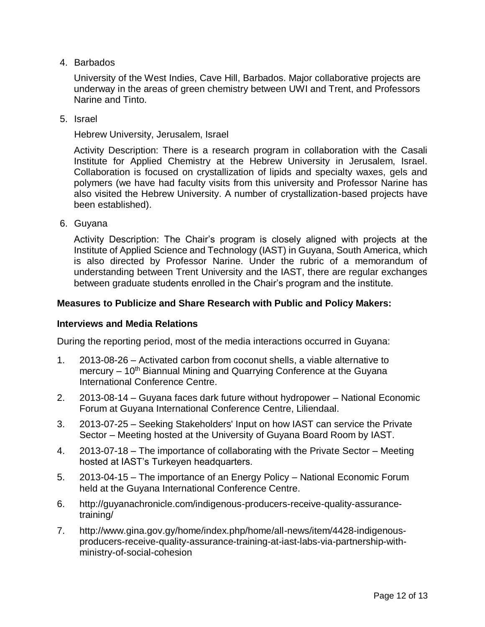4. Barbados

University of the West Indies, Cave Hill, Barbados. Major collaborative projects are underway in the areas of green chemistry between UWI and Trent, and Professors Narine and Tinto.

5. Israel

Hebrew University, Jerusalem, Israel

Activity Description: There is a research program in collaboration with the Casali Institute for Applied Chemistry at the Hebrew University in Jerusalem, Israel. Collaboration is focused on crystallization of lipids and specialty waxes, gels and polymers (we have had faculty visits from this university and Professor Narine has also visited the Hebrew University. A number of crystallization-based projects have been established).

6. Guyana

Activity Description: The Chair's program is closely aligned with projects at the Institute of Applied Science and Technology (IAST) in Guyana, South America, which is also directed by Professor Narine. Under the rubric of a memorandum of understanding between Trent University and the IAST, there are regular exchanges between graduate students enrolled in the Chair's program and the institute.

#### **Measures to Publicize and Share Research with Public and Policy Makers:**

#### **Interviews and Media Relations**

During the reporting period, most of the media interactions occurred in Guyana:

- 1. 2013-08-26 Activated carbon from coconut shells, a viable alternative to mercury  $-10<sup>th</sup>$  Biannual Mining and Quarrying Conference at the Guyana International Conference Centre.
- 2. 2013-08-14 Guyana faces dark future without hydropower National Economic Forum at Guyana International Conference Centre, Liliendaal.
- 3. 2013-07-25 Seeking Stakeholders' Input on how IAST can service the Private Sector – Meeting hosted at the University of Guyana Board Room by IAST.
- 4. 2013-07-18 The importance of collaborating with the Private Sector Meeting hosted at IAST's Turkeyen headquarters.
- 5. 2013-04-15 The importance of an Energy Policy National Economic Forum held at the Guyana International Conference Centre.
- 6. http://guyanachronicle.com/indigenous-producers-receive-quality-assurancetraining/
- 7. http://www.gina.gov.gy/home/index.php/home/all-news/item/4428-indigenousproducers-receive-quality-assurance-training-at-iast-labs-via-partnership-withministry-of-social-cohesion